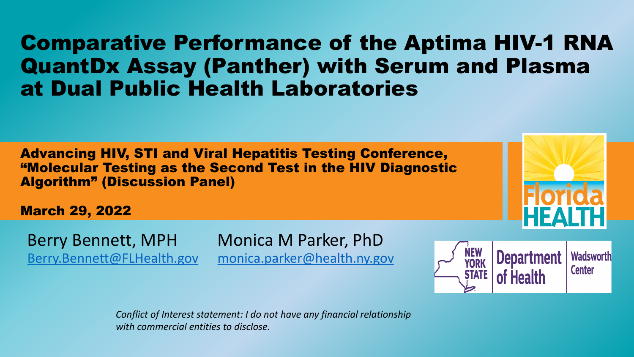## **Comparative Performance of the QuantDx Assay (Panther) with Serum** a[t Dual Public H](mailto:Berry.Bennett@FLHealth.gov)[ealth Laboratorie](http://www.aphl.org/)

**Advancing HIV, STI and Viral Hepatitis Testing Confer** "Molecular Testing as the Second Test in the HIV Dia Algorithm" (Discussion Panel)

March 29, 2022

Berry Bennett, MPH Monica M Parker, PhD

Berry.Bennett@FLHealth.gov monica.parker@health.ny.gov

*Conflict of Interest statement: I do not have any financial relationshien with commercial entities to disclose.*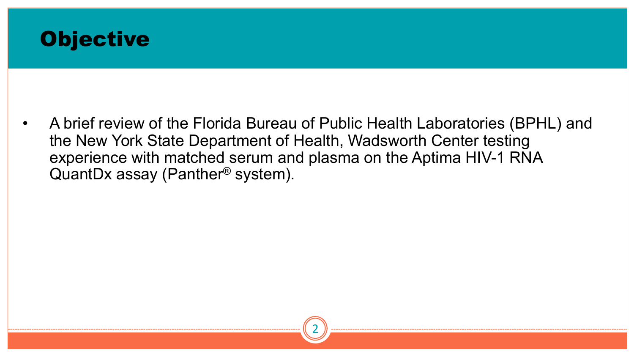

• A brief review of the Florida Bureau of Public Health Laboratories (BPHL) and the New York State Department of Health, Wadsworth Center testing experience with matched serum and plasma on the Aptima HIV-1 RNA QuantDx assay (Panther® system).

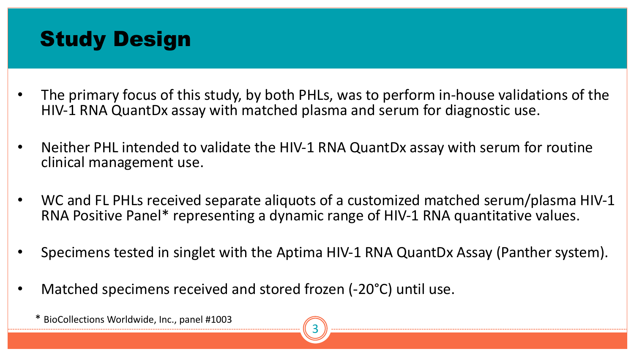# Study Design

- The primary focus of this study, by both PHLs, was to perform in-house validations of the HIV-1 RNA QuantDx assay with matched plasma and serum for diagnostic use.
- Neither PHL intended to validate the HIV-1 RNA QuantDx assay with serum for routine clinical management use.
- WC and FL PHLs received separate aliquots of a customized matched serum/plasma HIV-1 RNA Positive Panel\* representing a dynamic range of HIV-1 RNA quantitative values.
- Specimens tested in singlet with the Aptima HIV-1 RNA QuantDx Assay (Panther system).
- Matched specimens received and stored frozen (-20°C) until use.

\* BioCollections Worldwide, Inc., panel #1003

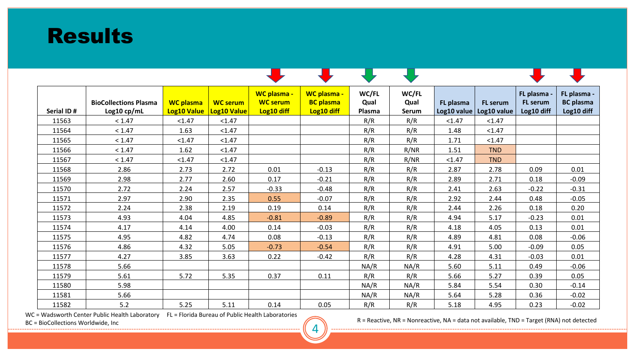

| Serial ID# | <b>BioCollections Plasma</b><br>Log10 cp/mL | <b>WC plasma</b><br><b>Log10 Value</b> | <b>WC serum</b><br><b>Log10 Value</b> | <b>WC plasma -</b><br><b>WC serum</b><br>Log10 diff | WC plasma -<br><b>BC</b> plasma<br>Log10 diff | WC/FL<br>Qual<br>Plasma | WC/FL<br>Qual<br><b>Serum</b> | FL plasma<br>Log10 value | <b>FL</b> serum<br>Log10 value | FL plasma<br><b>FL</b> serum<br>Log10 diff | FL plasma -<br><b>BC</b> plasma<br>Log10 diff |
|------------|---------------------------------------------|----------------------------------------|---------------------------------------|-----------------------------------------------------|-----------------------------------------------|-------------------------|-------------------------------|--------------------------|--------------------------------|--------------------------------------------|-----------------------------------------------|
| 11563      | < 1.47                                      | < 1.47                                 | < 1.47                                |                                                     |                                               | R/R                     | R/R                           | < 1.47                   | < 1.47                         |                                            |                                               |
| 11564      | < 1.47                                      | 1.63                                   | < 1.47                                |                                                     |                                               | R/R                     | R/R                           | 1.48                     | < 1.47                         |                                            |                                               |
| 11565      | < 1.47                                      | < 1.47                                 | < 1.47                                |                                                     |                                               | R/R                     | R/R                           | 1.71                     | < 1.47                         |                                            |                                               |
| 11566      | < 1.47                                      | 1.62                                   | < 1.47                                |                                                     |                                               | R/R                     | R/NR                          | 1.51                     | <b>TND</b>                     |                                            |                                               |
| 11567      | < 1.47                                      | < 1.47                                 | < 1.47                                |                                                     |                                               | R/R                     | R/NR                          | < 1.47                   | <b>TND</b>                     |                                            |                                               |
| 11568      | 2.86                                        | 2.73                                   | 2.72                                  | 0.01                                                | $-0.13$                                       | R/R                     | R/R                           | 2.87                     | 2.78                           | 0.09                                       | 0.01                                          |
| 11569      | 2.98                                        | 2.77                                   | 2.60                                  | 0.17                                                | $-0.21$                                       | R/R                     | R/R                           | 2.89                     | 2.71                           | 0.18                                       | $-0.09$                                       |
| 11570      | 2.72                                        | 2.24                                   | 2.57                                  | $-0.33$                                             | $-0.48$                                       | R/R                     | R/R                           | 2.41                     | 2.63                           | $-0.22$                                    | $-0.31$                                       |
| 11571      | 2.97                                        | 2.90                                   | 2.35                                  | 0.55                                                | $-0.07$                                       | R/R                     | R/R                           | 2.92                     | 2.44                           | 0.48                                       | $-0.05$                                       |
| 11572      | 2.24                                        | 2.38                                   | 2.19                                  | 0.19                                                | 0.14                                          | R/R                     | R/R                           | 2.44                     | 2.26                           | 0.18                                       | 0.20                                          |
| 11573      | 4.93                                        | 4.04                                   | 4.85                                  | $-0.81$                                             | $-0.89$                                       | R/R                     | R/R                           | 4.94                     | 5.17                           | $-0.23$                                    | 0.01                                          |
| 11574      | 4.17                                        | 4.14                                   | 4.00                                  | 0.14                                                | $-0.03$                                       | R/R                     | R/R                           | 4.18                     | 4.05                           | 0.13                                       | 0.01                                          |
| 11575      | 4.95                                        | 4.82                                   | 4.74                                  | 0.08                                                | $-0.13$                                       | R/R                     | R/R                           | 4.89                     | 4.81                           | 0.08                                       | $-0.06$                                       |
| 11576      | 4.86                                        | 4.32                                   | 5.05                                  | $-0.73$                                             | $-0.54$                                       | R/R                     | R/R                           | 4.91                     | 5.00                           | $-0.09$                                    | 0.05                                          |
| 11577      | 4.27                                        | 3.85                                   | 3.63                                  | 0.22                                                | $-0.42$                                       | R/R                     | R/R                           | 4.28                     | 4.31                           | $-0.03$                                    | 0.01                                          |
| 11578      | 5.66                                        |                                        |                                       |                                                     |                                               | NA/R                    | NA/R                          | 5.60                     | 5.11                           | 0.49                                       | $-0.06$                                       |
| 11579      | 5.61                                        | 5.72                                   | 5.35                                  | 0.37                                                | 0.11                                          | R/R                     | R/R                           | 5.66                     | 5.27                           | 0.39                                       | 0.05                                          |
| 11580      | 5.98                                        |                                        |                                       |                                                     |                                               | NA/R                    | NA/R                          | 5.84                     | 5.54                           | 0.30                                       | $-0.14$                                       |
| 11581      | 5.66                                        |                                        |                                       |                                                     |                                               | NA/R                    | NA/R                          | 5.64                     | 5.28                           | 0.36                                       | $-0.02$                                       |
| 11582      | 5.2                                         | 5.25                                   | 5.11                                  | 0.14                                                | 0.05                                          | R/R                     | R/R                           | 5.18                     | 4.95                           | 0.23                                       | $-0.02$                                       |

4

WC = Wadsworth Center Public Health Laboratory FL = Florida Bureau of Public Health Laboratories

 $BC = BioCollection: 1.00011: 1.0001: 1.0001: 1.0001: 1.0001: 1.0001: 1.0001: 1.0001: 1.0001: 1.0001: 1.0001: 1.0001: 1.0001: 1.0001: 1.0001: 1.0001: 1.0001: 1.0001: 1.0001: 1.0001: 1.0001: 1.0001: 1.0001: 1.0001: 1.0001: 1.0001: 1.000$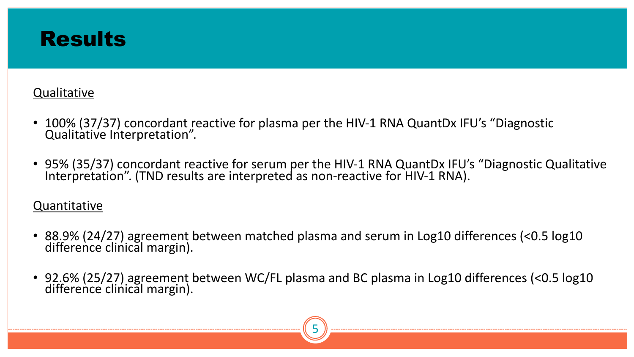## **Results**

#### **Qualitative**

- 100% (37/37) concordant reactive for plasma per the HIV-1 RNA QuantDx IFU's "Diagnostic Qualitative Interpretation".
- 95% (35/37) concordant reactive for serum per the HIV-1 RNA QuantDx IFU's "Diagnostic Qualitative<br>Interpretation". (TND results are interpreted as non-reactive for HIV-1 RNA).

#### Quantitative

- 88.9% (24/27) agreement between matched plasma and serum in Log10 differences (<0.5 log10 difference clinical margin).
- 92.6% (25/27) agreement between WC/FL plasma and BC plasma in Log10 differences (<0.5 log10 difference clinical margin).

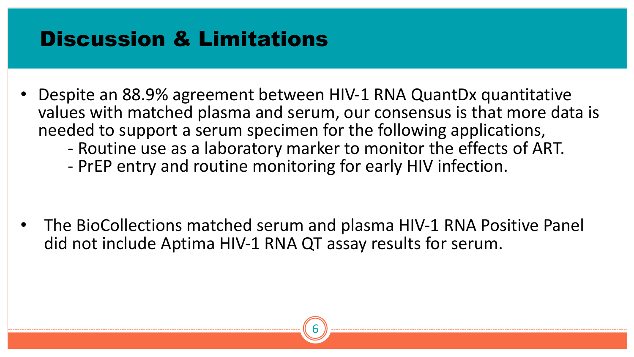# Discussion & Limitations

- Despite an 88.9% agreement between HIV-1 RNA QuantDx quantitative values with matched plasma and serum, our consensus is that more data is needed to support a serum specimen for the following applications,<br>- Routine use as a laboratory marker to monitor the effects of ART.
	-
	- PrEP entry and routine monitoring for early HIV infection.

• The BioCollections matched serum and plasma HIV-1 RNA Positive Panel did not include Aptima HIV-1 RNA QT assay results for serum.

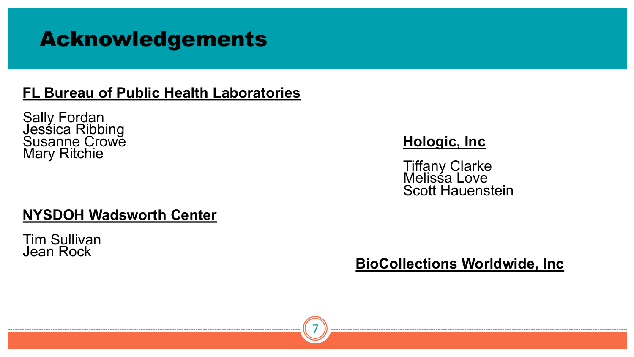# Acknowledgements

## **FL Bureau of Public Health Laboratories**

Sally Fordan Jessica Ribbing Susanne Crowe **Hologic, Inc** Mary Ritchie Tiffany Clarke

### **NYSDOH Wadsworth Center**

Tim Sullivan Jean Rock

**Tiffany Clarke<br>Melissa Love** Scott Hauenstein

**BioCollections Worldwide, Inc**